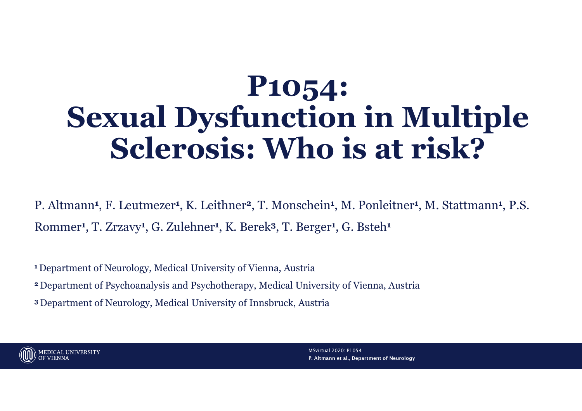# P1054: Sexual Dysfunction in Multiple Sclerosis: Who is at risk?

P. Altmann<sup>1</sup>, F. Leutmezer<sup>1</sup>, K. Leithner<sup>2</sup>, T. Monschein<sup>1</sup>, M. Ponleitner<sup>1</sup>, M. Stattmann<sup>1</sup>, P.S. Rommer<sup>1</sup> , T. Zrzavy<sup>1</sup> , G. Zulehner<sup>1</sup> , K. Berek<sup>3</sup>, T. Berger<sup>1</sup> , G. Bsteh<sup>1</sup>

<sup>1</sup>Department of Neurology, Medical University of Vienna, Austria

<sup>2</sup>Department of Psychoanalysis and Psychotherapy, Medical University of Vienna, Austria

<sup>3</sup>Department of Neurology, Medical University of Innsbruck, Austria



P. Altmann et al., Department of Neurology MSvirtual 2020: P1054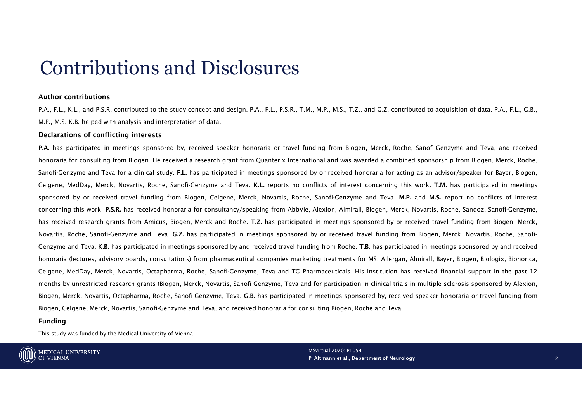# Contributions and Disclosures Contributions and Disclosure<br>Author contributions<br>P.A., F.L., K.L., and P.S.R. contributed to the study concept and design. P.A., F.L., P.S.<br>M.P., M.S. K.B. helped with analysis and interpretation of data.<br>Declarations of

CONTIDUTIONS and DISCLOSUTES<br>Author contributions<br>M.P.A., K.L., and P.S.R. contributed to the study concept and design. P.A., F.L., P.S.R., T.M., M.P., M.S., T.Z., and G.Z. contributed to acquisition of data. P.A., F.L., G

Contributions<br>Author contributions<br>P.A., F.L., K.L., and P.S.R. contributed to the study concept and design. P.A., F.L., P.S.R., T.M., M.P., M.S., T.Z., and G.Z. contributed to<br>M.P., M.S. K.B. helped with analysis and inte Contributions<br>Author contributions<br>A., F.L., K.L., and P.S.R. contributed to the study concept and design. P.A., F.L., P.S.R., T.M., M.P., M.S., T.Z<br>M.P., M.S. K.B. helped with analysis and interpretation of data.<br>Declarat CONTIDUTIONS AND DISCIOSUPES<br>P.A., F.L., K.L., and P.S.R. contributed to the study concept and design, P.A., F.L., P.S.R., T.M., M.P., M.S., T.Z., and G.Z. contributed to acquisition of data. P.A., F.L., G.B.,<br>M.P., M.S. K CONTIDUITIONS and DISCLOSUITES<br>
Author contributions<br>
P.A., F.L., K.L., and P.S.R. contributed to the study concept and design. P.A., F.L., P.S.R., T.M., M.P., M.S., T.Z., and G.Z. contributed to acquisition of data. P.A., CONTITIDUITIONS AND DISCLOSUPES<br>
Author contributions<br>
F.A., K., L., and F.S.R. Contributed to the study concept and design. P.A., F.L., P.S.R., T.M., M.P., M.S., T.Z., and G.Z. contributed to acquisition of data. P.A., F. CONTIDUITIONS AND DISCLOSUTES<br>
ALTER ALTER AND AND TRIMATE AND CONTINUOS TO A SAN TRIMATE AND A SAN TRIMATE AND SAN TRIMATE AND SATISFALL AG<br>
MAP, M.S. K.B. helped with analysis and interpretation of data.<br>
Declarations of **CONTIBUTIONS AND DISCLOSUTES**<br>
ANT. K.L., and P.S.R. contributed to the study concept and design. P.A., F.L., P.S.R., T.M., M.P., M.S., T.Z., and G.Z. contributed to acquisition of data. P.A., F.L., G.B.,<br>
M.P., K.S., K.L CONTITIDUITIONS ANT DISCLOSUTES<br>
Author contributions.<br>
PA. F.L., K.L., and P.S.R. contributed to the study concept and design. P.A., F.L., P.S.R., T.M., M.P., M.S., T.Z., and G.Z. contributed to acquisition of data. P.A., CONTIDUITIONS AND DISCLOSUITES<br>
ALLERAL K.L., and P.S.R. contributed to the study concept and design, P.A., F.L., P.S.R., T.M., M.P., M.S., T.Z., and G.Z. contributed to acquisition of data. P.A., F.L., K.B.<br>
M.P., M.S., K CONTITIDUITIONS ANT DISCLOSUTES<br>
AND THE CONTINUONS ARE ARELASS. CONTINUONS TO THE CONTINUONS TO THE CALL THE CALL THE CALL THE CALL THE CALL THE CALL THE CALL THE CALL THE CALL THE CALL THE CALL THE CALL THE CALL THE CALL **CONTERNOTIS AND EXECTS ANTIST ANTIST ANTIST ANTIST ANTIST ANTIST ANTIST ANTIST ANTIST ANTIST ANTIST ANTIST ANTIST ANTIST ANTIST AND RELEASE ANTIST AND RELEASE ANTIST AND RELEASE ANTIST AND RELEASE ANTIST AND RELEASE AN AR** Author contributions<br>RA., F.L., K.L., and P.S.R. contributed to the study concept and design. P.A., F.L., P.S.R., T.M., M.P., M.S., T.Z., and G.Z. contributed to acquisition of data. P.A., F.L., G.B.,<br>M.P., M.S. K.B. helee Author contributions<br>P.A.F.L., and P.S.R. contributed to the study concept and design, P.A., F.L., P.S.R., T.M., M.P., M.S., T.Z., and G.Z. contributed to acquisition of data, P.A., F.L., G.B.,<br>Declarations of conflicting P.A., F.L., K.L., and P.S.R. contributed to the study concept and design. P.A., F.L., P.S.R., T.M., M.P., M.S., T.Z., and G.Z. contributed to acquisition of data.<br>M.P., M.S. K.R. helped with anailogis and interpretation of M.P., M.S. K.B. helped with analysis and interpretation of data.<br>**Declarations of confitting interests**<br>**PeA has participated in meetings sponsored by, received a research grant from Quanterix International and was awarded Declarations of conflicting interests**<br>**PA. has participase** in meetings sponsored by, received speaker honoraria or travel funding from Biogen, Nerck, Roche, Sanofi-Genzyme and Teva, and received<br>PA. mas participase in m honoraria for consulting from Biogen. He received a research grant from Quanterix International and was awarded a combination (Sanofi-Genzyme and Teva. K.L. reports no conflicts of interest concerning to Celgene, MedDay, M

### Funding



P. Altmann et al., Department of Neurology MSvirtual 2020: P1054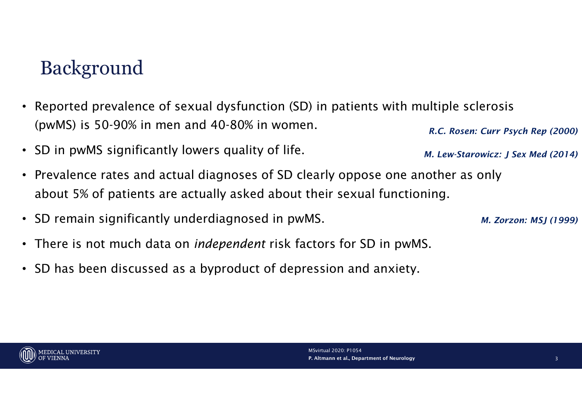### Background

- Reported prevalence of sexual dysfunction (SD) in patients with multiple sclerosis (pwMS) is 50-90% in men and 40-80% in women. R.C. Rosen: Curr Psych Rep (2000)
- SD in pwMS significantly lowers quality of life.
- Prevalence rates and actual diagnoses of SD clearly oppose one another as only about 5% of patients are actually asked about their sexual functioning.
- SD remain significantly underdiagnosed in pwMS.
- There is not much data on *independent* risk factors for SD in pwMS.
- SD has been discussed as a byproduct of depression and anxiety.



M. Lew-Starowicz: J Sex Med (2014)

M. Zorzon: MSJ (1999)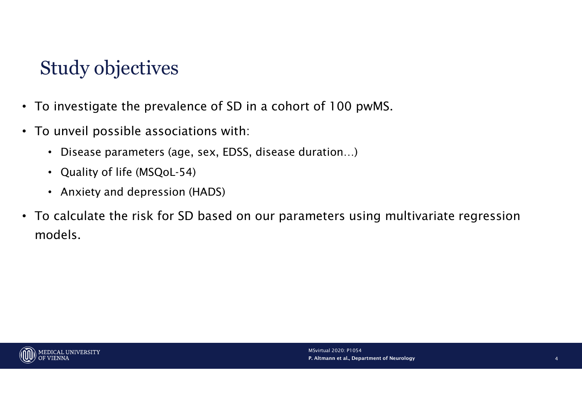# Study objectives

- To investigate the prevalence of SD in a cohort of 100 pwMS.
- To unveil possible associations with:
	- Disease parameters (age, sex, EDSS, disease duration…)
	- Quality of life (MSQoL-54)
	- Anxiety and depression (HADS)
- To calculate the risk for SD based on our parameters using multivariate regression models.

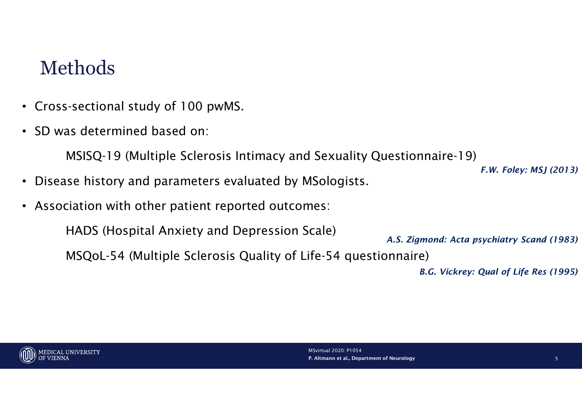### Methods

- Cross-sectional study of 100 pwMS.
- SD was determined based on:

MSISQ-19 (Multiple Sclerosis Intimacy and Sexuality Questionnaire-19)

- Disease history and parameters evaluated by MSologists.
- Association with other patient reported outcomes:

HADS (Hospital Anxiety and Depression Scale)

A.S. Zigmond: Acta psychiatry Scand (1983)

MSQoL-54 (Multiple Sclerosis Quality of Life-54 questionnaire)

B.G. Vickrey: Qual of Life Res (1995)

F.W. Foley: MSJ (2013)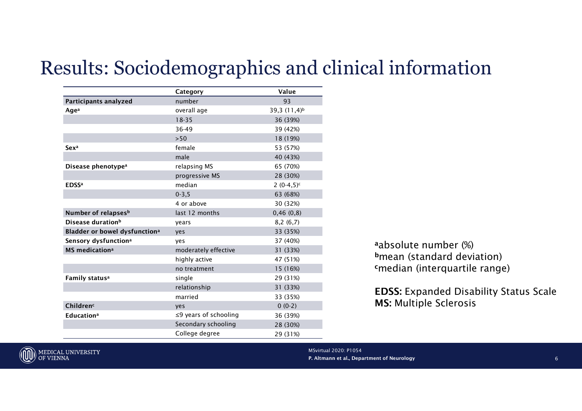### Results: Sociodemographics and clinical information

| sults: Sociodemographics and clinical information<br>Value<br>Category<br>Participants analyzed<br>93<br>number<br>39,3 $(11,4)^{b}$<br>Agea<br>overall age<br>$18 - 35$<br>36 (39%)<br>36-49<br>39 (42%)<br>$>50$<br>18 (19%)<br>female<br>53 (57%)<br>Sex <sup>a</sup><br>male<br>40 (43%)<br>Disease phenotype <sup>a</sup><br>relapsing MS<br>65 (70%)<br>progressive MS<br>28 (30%)<br><b>EDSSa</b><br>median<br>$2(0-4,5)^{c}$<br>$0 - 3, 5$<br>63 (68%)<br>4 or above<br>30 (32%)<br>Number of relapses <sup>b</sup><br>last 12 months<br>0,46(0,8)<br>Disease duration <sup>b</sup><br>8,2(6,7)<br>years<br>Bladder or bowel dysfunction <sup>a</sup><br>33 (35%)<br>yes<br>Sensory dysfunction <sup>a</sup><br>37 (40%)<br>yes<br>aabsolute number (%)<br><b>MS</b> medication <sup>a</sup><br>moderately effective<br>31 (33%)<br>bmean (standard deviation)<br>highly active<br>47 (51%)<br><sup>c</sup> median (interquartile range)<br>15 (16%)<br>no treatment<br>Family status <sup>a</sup><br>29 (31%)<br>single |  |
|----------------------------------------------------------------------------------------------------------------------------------------------------------------------------------------------------------------------------------------------------------------------------------------------------------------------------------------------------------------------------------------------------------------------------------------------------------------------------------------------------------------------------------------------------------------------------------------------------------------------------------------------------------------------------------------------------------------------------------------------------------------------------------------------------------------------------------------------------------------------------------------------------------------------------------------------------------------------------------------------------------------------------------|--|
|                                                                                                                                                                                                                                                                                                                                                                                                                                                                                                                                                                                                                                                                                                                                                                                                                                                                                                                                                                                                                                  |  |
|                                                                                                                                                                                                                                                                                                                                                                                                                                                                                                                                                                                                                                                                                                                                                                                                                                                                                                                                                                                                                                  |  |
|                                                                                                                                                                                                                                                                                                                                                                                                                                                                                                                                                                                                                                                                                                                                                                                                                                                                                                                                                                                                                                  |  |
|                                                                                                                                                                                                                                                                                                                                                                                                                                                                                                                                                                                                                                                                                                                                                                                                                                                                                                                                                                                                                                  |  |
|                                                                                                                                                                                                                                                                                                                                                                                                                                                                                                                                                                                                                                                                                                                                                                                                                                                                                                                                                                                                                                  |  |
|                                                                                                                                                                                                                                                                                                                                                                                                                                                                                                                                                                                                                                                                                                                                                                                                                                                                                                                                                                                                                                  |  |
|                                                                                                                                                                                                                                                                                                                                                                                                                                                                                                                                                                                                                                                                                                                                                                                                                                                                                                                                                                                                                                  |  |
|                                                                                                                                                                                                                                                                                                                                                                                                                                                                                                                                                                                                                                                                                                                                                                                                                                                                                                                                                                                                                                  |  |
|                                                                                                                                                                                                                                                                                                                                                                                                                                                                                                                                                                                                                                                                                                                                                                                                                                                                                                                                                                                                                                  |  |
|                                                                                                                                                                                                                                                                                                                                                                                                                                                                                                                                                                                                                                                                                                                                                                                                                                                                                                                                                                                                                                  |  |
|                                                                                                                                                                                                                                                                                                                                                                                                                                                                                                                                                                                                                                                                                                                                                                                                                                                                                                                                                                                                                                  |  |
|                                                                                                                                                                                                                                                                                                                                                                                                                                                                                                                                                                                                                                                                                                                                                                                                                                                                                                                                                                                                                                  |  |
|                                                                                                                                                                                                                                                                                                                                                                                                                                                                                                                                                                                                                                                                                                                                                                                                                                                                                                                                                                                                                                  |  |
|                                                                                                                                                                                                                                                                                                                                                                                                                                                                                                                                                                                                                                                                                                                                                                                                                                                                                                                                                                                                                                  |  |
|                                                                                                                                                                                                                                                                                                                                                                                                                                                                                                                                                                                                                                                                                                                                                                                                                                                                                                                                                                                                                                  |  |
|                                                                                                                                                                                                                                                                                                                                                                                                                                                                                                                                                                                                                                                                                                                                                                                                                                                                                                                                                                                                                                  |  |
|                                                                                                                                                                                                                                                                                                                                                                                                                                                                                                                                                                                                                                                                                                                                                                                                                                                                                                                                                                                                                                  |  |
|                                                                                                                                                                                                                                                                                                                                                                                                                                                                                                                                                                                                                                                                                                                                                                                                                                                                                                                                                                                                                                  |  |
|                                                                                                                                                                                                                                                                                                                                                                                                                                                                                                                                                                                                                                                                                                                                                                                                                                                                                                                                                                                                                                  |  |
|                                                                                                                                                                                                                                                                                                                                                                                                                                                                                                                                                                                                                                                                                                                                                                                                                                                                                                                                                                                                                                  |  |
|                                                                                                                                                                                                                                                                                                                                                                                                                                                                                                                                                                                                                                                                                                                                                                                                                                                                                                                                                                                                                                  |  |
|                                                                                                                                                                                                                                                                                                                                                                                                                                                                                                                                                                                                                                                                                                                                                                                                                                                                                                                                                                                                                                  |  |
|                                                                                                                                                                                                                                                                                                                                                                                                                                                                                                                                                                                                                                                                                                                                                                                                                                                                                                                                                                                                                                  |  |
|                                                                                                                                                                                                                                                                                                                                                                                                                                                                                                                                                                                                                                                                                                                                                                                                                                                                                                                                                                                                                                  |  |
|                                                                                                                                                                                                                                                                                                                                                                                                                                                                                                                                                                                                                                                                                                                                                                                                                                                                                                                                                                                                                                  |  |
|                                                                                                                                                                                                                                                                                                                                                                                                                                                                                                                                                                                                                                                                                                                                                                                                                                                                                                                                                                                                                                  |  |
|                                                                                                                                                                                                                                                                                                                                                                                                                                                                                                                                                                                                                                                                                                                                                                                                                                                                                                                                                                                                                                  |  |
|                                                                                                                                                                                                                                                                                                                                                                                                                                                                                                                                                                                                                                                                                                                                                                                                                                                                                                                                                                                                                                  |  |
|                                                                                                                                                                                                                                                                                                                                                                                                                                                                                                                                                                                                                                                                                                                                                                                                                                                                                                                                                                                                                                  |  |
|                                                                                                                                                                                                                                                                                                                                                                                                                                                                                                                                                                                                                                                                                                                                                                                                                                                                                                                                                                                                                                  |  |
|                                                                                                                                                                                                                                                                                                                                                                                                                                                                                                                                                                                                                                                                                                                                                                                                                                                                                                                                                                                                                                  |  |
|                                                                                                                                                                                                                                                                                                                                                                                                                                                                                                                                                                                                                                                                                                                                                                                                                                                                                                                                                                                                                                  |  |
|                                                                                                                                                                                                                                                                                                                                                                                                                                                                                                                                                                                                                                                                                                                                                                                                                                                                                                                                                                                                                                  |  |
|                                                                                                                                                                                                                                                                                                                                                                                                                                                                                                                                                                                                                                                                                                                                                                                                                                                                                                                                                                                                                                  |  |
|                                                                                                                                                                                                                                                                                                                                                                                                                                                                                                                                                                                                                                                                                                                                                                                                                                                                                                                                                                                                                                  |  |
| relationship<br>31 (33%)                                                                                                                                                                                                                                                                                                                                                                                                                                                                                                                                                                                                                                                                                                                                                                                                                                                                                                                                                                                                         |  |
| <b>EDSS: Expanded Disability St</b><br>married<br>33 (35%)                                                                                                                                                                                                                                                                                                                                                                                                                                                                                                                                                                                                                                                                                                                                                                                                                                                                                                                                                                       |  |
| <b>MS: Multiple Sclerosis</b><br>Children <sup>c</sup><br>$0(0-2)$<br>yes                                                                                                                                                                                                                                                                                                                                                                                                                                                                                                                                                                                                                                                                                                                                                                                                                                                                                                                                                        |  |
| ≤9 years of schooling<br><b>Educationa</b><br>36 (39%)                                                                                                                                                                                                                                                                                                                                                                                                                                                                                                                                                                                                                                                                                                                                                                                                                                                                                                                                                                           |  |
| Secondary schooling<br>28 (30%)                                                                                                                                                                                                                                                                                                                                                                                                                                                                                                                                                                                                                                                                                                                                                                                                                                                                                                                                                                                                  |  |
| College degree<br>29 (31%)                                                                                                                                                                                                                                                                                                                                                                                                                                                                                                                                                                                                                                                                                                                                                                                                                                                                                                                                                                                                       |  |

a absolute number (%) <sup>b</sup>mean (standard deviation) <sup>c</sup>median (interquartile range)

EDSS: Expanded Disability Status Scale MS: Multiple Sclerosis

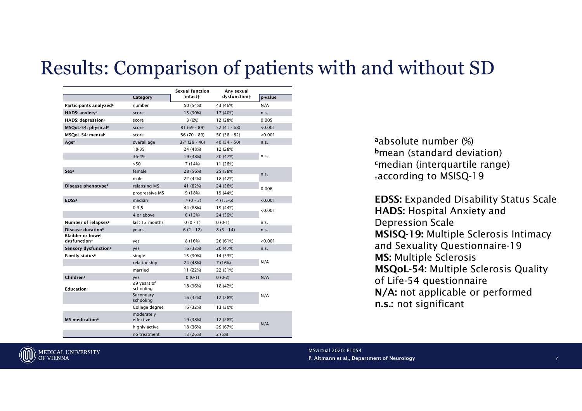### Results: Comparison of patients with and without SD

|                                                     |                                | Sexual function | Any sexual    |         |
|-----------------------------------------------------|--------------------------------|-----------------|---------------|---------|
|                                                     | Category                       | intact†         | dysfunction+  | p-value |
| Participants analyzed <sup>a</sup>                  | number                         | 50 (54%)        | 43 (46%)      | N/A     |
| HADS: anxiety <sup>a</sup>                          | score                          | 15 (30%)        | 17 (40%)      | n.s.    |
| HADS: depression <sup>a</sup>                       | score                          | 3(6%)           | 12 (28%)      | 0.005   |
| MSQoL-54: physical <sup>c</sup>                     | score                          | $81(69-89)$     | $52(41 - 68)$ | < 0.001 |
| MSQoL-54: mental <sup>c</sup>                       | score                          | $86(70-89)$     | $50(38 - 82)$ | < 0.001 |
| Agea                                                | overall age                    | $37c$ (29 - 46) | $40(34-50)$   | n.s.    |
|                                                     | $18 - 35$                      | 24 (48%)        | 12 (28%)      |         |
|                                                     | 36-49                          | 19 (38%)        | 20 (47%)      | n.s.    |
|                                                     | >50                            | 7 (14%)         | 11 (26%)      |         |
| Sexa                                                | female                         | 28 (56%)        | 25 (58%)      | n.s.    |
|                                                     | male                           | 22 (44%)        | 18 (42%)      |         |
| Disease phenotype <sup>a</sup>                      | relapsing MS                   | 41 (82%)        | 24 (56%)      | 0.006   |
|                                                     | progressive MS                 | 9 (18%)         | 19 (44%)      |         |
| <b>EDSSa</b>                                        | median                         | $1c (0 - 3)$    | $4(1.5-6)$    | < 0.001 |
|                                                     | $0 - 3.5$                      | 44 (88%)        | 19 (44%)      | < 0.001 |
|                                                     | 4 or above                     | 6 (12%)         | 24 (56%)      |         |
| Number of relapses <sup>c</sup>                     | last 12 months                 | $0(0-1)$        | $0(0-1)$      | n.s.    |
| Disease duration <sup>c</sup>                       | years                          | $6(2 - 12)$     | $8(3 - 14)$   | n.s.    |
| <b>Bladder or bowel</b><br>dysfunction <sup>a</sup> | yes                            | 8 (16%)         | 26 (61%)      | < 0.001 |
| Sensory dysfunction <sup>a</sup>                    | yes                            | 16 (32%)        | 20 (47%)      | n.s.    |
| Family status <sup>a</sup>                          | single                         | 15 (30%)        | 14 (33%)      |         |
|                                                     | relationship                   | 24 (48%)        | 7 (16%)       | N/A     |
|                                                     | married                        | 11 (22%)        | 22 (51%)      |         |
| Children <sup>c</sup>                               | yes                            | $0(0-1)$        | $0(0-2)$      | N/A     |
| <b>Education</b> <sup>a</sup>                       | $\leq$ 9 years of<br>schooling | 18 (36%)        | 18 (42%)      |         |
|                                                     | Secondary<br>schooling         | 16 (32%)        | 12 (28%)      | N/A     |
|                                                     | College degree                 | 16 (32%)        | 13 (30%)      |         |
| <b>MS</b> medication <sup>a</sup>                   | moderately<br>effective        | 19 (38%)        | 12 (28%)      |         |
|                                                     | highly active                  | 18 (36%)        | 29 (67%)      | N/A     |
|                                                     | no treatment                   | 13 (26%)        | 2(5%)         |         |

a absolute number (%) <sup>b</sup>mean (standard deviation) <sup>c</sup>median (interquartile range) †according to MSISQ-19

EDSS: Expanded Disability Status Scale HADS: Hospital Anxiety and Depression Scale MSISQ-19: Multiple Sclerosis Intimacy and Sexuality Questionnaire-19 MS: Multiple Sclerosis MSQoL-54: Multiple Sclerosis Quality of Life-54 questionnaire N/A: not applicable or performed n.s.: not significant

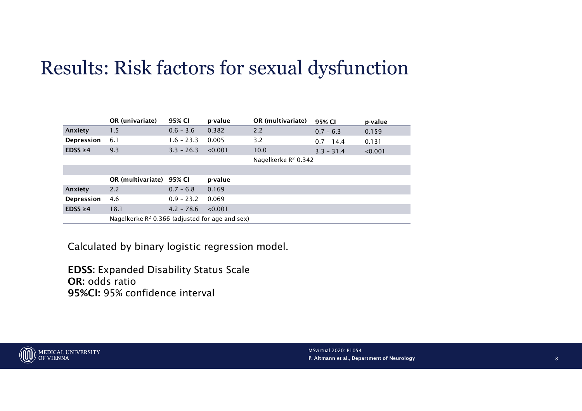## Results: Risk factors for sexual dysfunction

|               | esults: Risk factors for sexual dysfunction                        |              |         |                                 |              |         |
|---------------|--------------------------------------------------------------------|--------------|---------|---------------------------------|--------------|---------|
|               |                                                                    |              |         |                                 |              |         |
|               |                                                                    |              |         |                                 |              |         |
|               |                                                                    |              |         |                                 |              |         |
|               |                                                                    |              |         |                                 |              |         |
|               |                                                                    |              |         |                                 |              |         |
|               |                                                                    |              |         |                                 |              |         |
|               |                                                                    |              |         |                                 |              |         |
|               |                                                                    |              |         |                                 |              |         |
|               |                                                                    |              |         |                                 |              |         |
|               |                                                                    |              |         |                                 |              |         |
|               |                                                                    |              |         |                                 |              |         |
|               |                                                                    |              |         |                                 |              |         |
|               |                                                                    |              |         |                                 |              |         |
|               | OR (univariate)                                                    | 95% CI       | p-value | OR (multivariate)               | 95% CI       | p-value |
|               | 1.5                                                                | $0.6 - 3.6$  | 0.382   | 2.2                             | $0.7 - 6.3$  | 0.159   |
| Anxiety       |                                                                    |              |         |                                 |              |         |
| Depression    | 6.1                                                                | $1.6 - 23.3$ | 0.005   | 3.2                             |              |         |
| $EDSS \geq 4$ | 9.3                                                                | $3.3 - 26.3$ | < 0.001 | 10.0                            | $0.7 - 14.4$ | 0.131   |
|               |                                                                    |              |         |                                 | $3.3 - 31.4$ | < 0.001 |
|               |                                                                    |              |         | Nagelkerke R <sup>2</sup> 0.342 |              |         |
|               |                                                                    |              |         |                                 |              |         |
|               | OR (multivariate) 95% CI                                           |              | p-value |                                 |              |         |
| Anxiety       | 2.2                                                                | $0.7 - 6.8$  | 0.169   |                                 |              |         |
| Depression    | 4.6                                                                | $0.9 - 23.2$ | 0.069   |                                 |              |         |
| $EDSS \geq 4$ | 18.1<br>Nagelkerke R <sup>2</sup> 0.366 (adjusted for age and sex) | $4.2 - 78.6$ | < 0.001 |                                 |              |         |

EDSS: Expanded Disability Status Scale OR: odds ratio 95%CI: 95% confidence interval

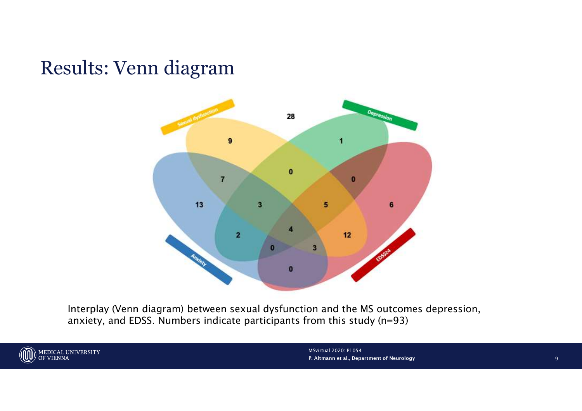## Results: Venn diagram



Interplay (Venn diagram) between sexual dysfunction and the MS outcomes depression, anxiety, and EDSS. Numbers indicate participants from this study (n=93)



P. Altmann et al., Department of Neurology MSvirtual 2020: P1054